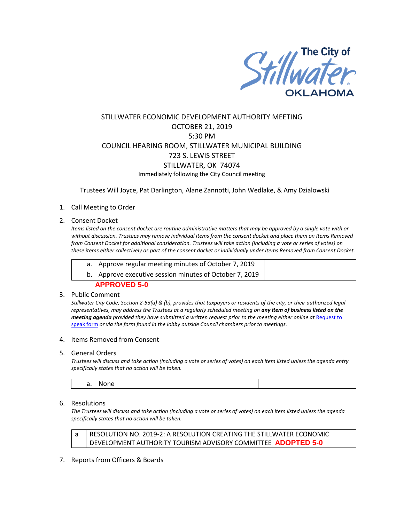

# STILLWATER ECONOMIC DEVELOPMENT AUTHORITY MEETING OCTOBER 21, 2019 5:30 PM COUNCIL HEARING ROOM, STILLWATER MUNICIPAL BUILDING 723 S. LEWIS STREET STILLWATER, OK 74074 Immediately following the City Council meeting

Trustees Will Joyce, Pat Darlington, Alane Zannotti, John Wedlake, & Amy Dzialowski

### 1. Call Meeting to Order

### 2. Consent Docket

*Items listed on the consent docket are routine administrative matters that may be approved by a single vote with or without discussion. Trustees may remove individual items from the consent docket and place them on Items Removed from Consent Docket for additional consideration. Trustees will take action (including a vote or series of votes) on these items either collectively as part of the consent docket or individually under Items Removed from Consent Docket.*

| a.   Approve regular meeting minutes of October 7, 2019   |  |
|-----------------------------------------------------------|--|
| b.   Approve executive session minutes of October 7, 2019 |  |
| <b>APPROVED 5-0</b>                                       |  |

## 3. Public Comment

*Stillwater City Code, Section 2-53(a) & (b), provides that taxpayers or residents of the city, or their authorized legal representatives, may address the Trustees at a regularly scheduled meeting on any item of business listed on the meeting agenda provided they have submitted a written request prior to the meeting either online at Request to* [speak form](http://stillwater.org/page/home/government/mayor-city-council/meetings-agendas-minutes/online-request-to-speak-at-city-council) *or via the form found in the lobby outside Council chambers prior to meetings.*

#### 4. Items Removed from Consent

### 5. General Orders

*Trustees will discuss and take action (including a vote or series of votes) on each item listed unless the agenda entry specifically states that no action will be taken.*

| N |  |
|---|--|
|---|--|

### 6. Resolutions

*The Trustees will discuss and take action (including a vote or series of votes) on each item listed unless the agenda specifically states that no action will be taken.*

a | RESOLUTION NO. 2019-2: A RESOLUTION CREATING THE STILLWATER ECONOMIC DEVELOPMENT AUTHORITY TOURISM ADVISORY COMMITTEE **ADOPTED 5-0**

7. Reports from Officers & Boards